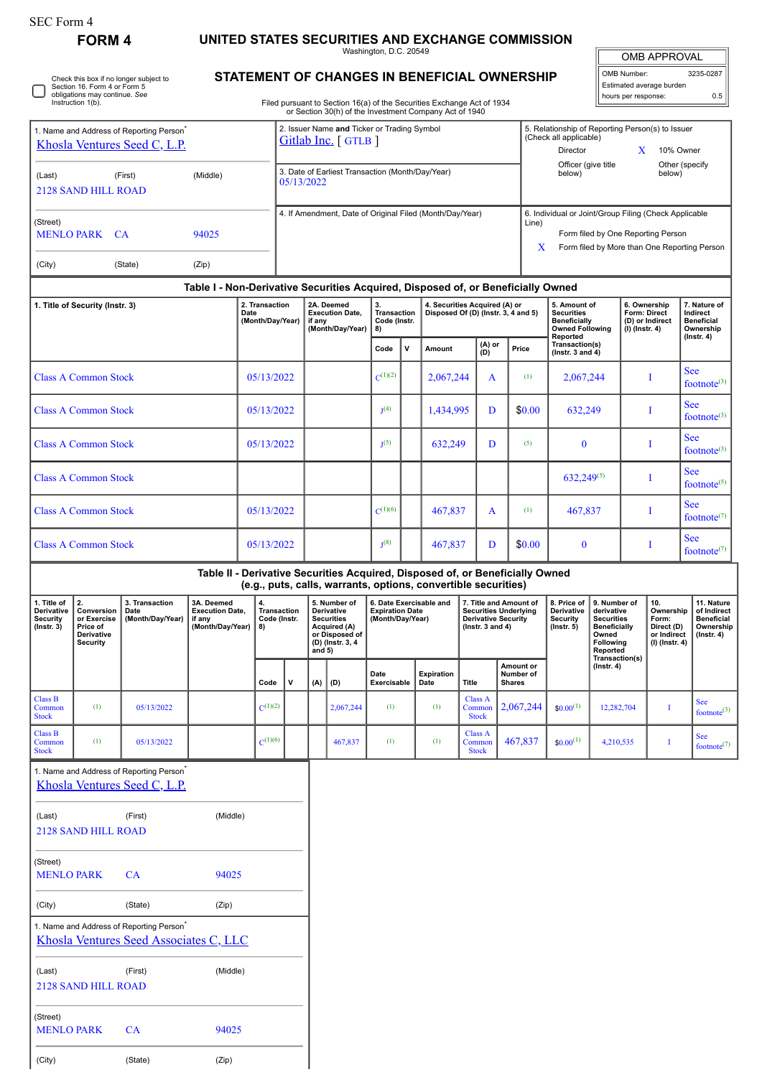## **FORM 4 UNITED STATES SECURITIES AND EXCHANGE COMMISSION**

|                                                                                      |                                                                                                                                        |                                                                                                |                                                                                         |                                                                |                                                                   |                                                                                                                   |                                                                                                                                                 | Washington, D.C. 20549                                                |   |                                                                      |                                          |                                                                                                              |                                                                                                                                                                       |                                                                                                |                                                                                                          |                                                                            | <b>OMB APPROVAL</b>                                                      |                                                                                |
|--------------------------------------------------------------------------------------|----------------------------------------------------------------------------------------------------------------------------------------|------------------------------------------------------------------------------------------------|-----------------------------------------------------------------------------------------|----------------------------------------------------------------|-------------------------------------------------------------------|-------------------------------------------------------------------------------------------------------------------|-------------------------------------------------------------------------------------------------------------------------------------------------|-----------------------------------------------------------------------|---|----------------------------------------------------------------------|------------------------------------------|--------------------------------------------------------------------------------------------------------------|-----------------------------------------------------------------------------------------------------------------------------------------------------------------------|------------------------------------------------------------------------------------------------|----------------------------------------------------------------------------------------------------------|----------------------------------------------------------------------------|--------------------------------------------------------------------------|--------------------------------------------------------------------------------|
|                                                                                      | Section 16. Form 4 or Form 5                                                                                                           | Check this box if no longer subject to                                                         |                                                                                         |                                                                |                                                                   |                                                                                                                   | STATEMENT OF CHANGES IN BENEFICIAL OWNERSHIP                                                                                                    |                                                                       |   |                                                                      |                                          |                                                                                                              |                                                                                                                                                                       |                                                                                                |                                                                                                          | OMB Number:                                                                | Estimated average burden                                                 | 3235-0287                                                                      |
|                                                                                      | obligations may continue. See<br>Instruction 1(b).                                                                                     |                                                                                                |                                                                                         |                                                                |                                                                   |                                                                                                                   | Filed pursuant to Section 16(a) of the Securities Exchange Act of 1934<br>or Section 30(h) of the Investment Company Act of 1940                |                                                                       |   |                                                                      |                                          |                                                                                                              |                                                                                                                                                                       |                                                                                                |                                                                                                          | hours per response:                                                        |                                                                          | 0.5                                                                            |
| 1. Name and Address of Reporting Person <sup>®</sup><br>Khosla Ventures Seed C, L.P. |                                                                                                                                        |                                                                                                |                                                                                         |                                                                | 2. Issuer Name and Ticker or Trading Symbol<br>Gitlab Inc. [GTLB] |                                                                                                                   |                                                                                                                                                 |                                                                       |   |                                                                      |                                          |                                                                                                              | 5. Relationship of Reporting Person(s) to Issuer<br>(Check all applicable)<br>Director<br>10% Owner<br>X<br>Officer (give title<br>Other (specify<br>below)<br>below) |                                                                                                |                                                                                                          |                                                                            |                                                                          |                                                                                |
| (Last)<br>(First)<br>(Middle)<br><b>2128 SAND HILL ROAD</b>                          |                                                                                                                                        |                                                                                                |                                                                                         | 3. Date of Earliest Transaction (Month/Day/Year)<br>05/13/2022 |                                                                   |                                                                                                                   |                                                                                                                                                 |                                                                       |   |                                                                      |                                          |                                                                                                              |                                                                                                                                                                       |                                                                                                |                                                                                                          |                                                                            |                                                                          |                                                                                |
| (Street)<br><b>MENLO PARK CA</b><br>94025                                            |                                                                                                                                        |                                                                                                |                                                                                         |                                                                |                                                                   | 4. If Amendment, Date of Original Filed (Month/Day/Year)                                                          |                                                                                                                                                 |                                                                       |   |                                                                      | Line)                                    | 6. Individual or Joint/Group Filing (Check Applicable<br>Form filed by One Reporting Person                  |                                                                                                                                                                       |                                                                                                |                                                                                                          |                                                                            |                                                                          |                                                                                |
| (City)                                                                               | (State)<br>(Zip)                                                                                                                       |                                                                                                |                                                                                         |                                                                |                                                                   |                                                                                                                   |                                                                                                                                                 |                                                                       |   |                                                                      |                                          |                                                                                                              | X<br>Form filed by More than One Reporting Person                                                                                                                     |                                                                                                |                                                                                                          |                                                                            |                                                                          |                                                                                |
|                                                                                      |                                                                                                                                        |                                                                                                | Table I - Non-Derivative Securities Acquired, Disposed of, or Beneficially Owned        |                                                                |                                                                   |                                                                                                                   |                                                                                                                                                 |                                                                       |   |                                                                      |                                          |                                                                                                              |                                                                                                                                                                       |                                                                                                |                                                                                                          |                                                                            |                                                                          |                                                                                |
| 1. Title of Security (Instr. 3)                                                      |                                                                                                                                        |                                                                                                | 2. Transaction<br>Date<br>(Month/Day/Year)                                              |                                                                |                                                                   | if any                                                                                                            | 2A. Deemed<br><b>Execution Date,</b><br>(Month/Day/Year)                                                                                        | 3.<br><b>Transaction</b><br>Code (Instr.<br>8)                        |   | 4. Securities Acquired (A) or<br>Disposed Of (D) (Instr. 3, 4 and 5) |                                          |                                                                                                              |                                                                                                                                                                       | 5. Amount of<br><b>Securities</b><br><b>Beneficially</b><br><b>Owned Following</b><br>Reported |                                                                                                          | 6. Ownership<br><b>Form: Direct</b><br>$(I)$ (Instr. 4)                    | (D) or Indirect                                                          | 7. Nature of<br>Indirect<br><b>Beneficial</b><br>Ownership<br>$($ Instr. 4 $)$ |
|                                                                                      |                                                                                                                                        |                                                                                                |                                                                                         |                                                                |                                                                   |                                                                                                                   |                                                                                                                                                 | Code                                                                  | V | Amount                                                               | (D)                                      | (A) or                                                                                                       | Price                                                                                                                                                                 | Transaction(s)<br>( $lnstr. 3 and 4$ )                                                         |                                                                                                          |                                                                            |                                                                          |                                                                                |
|                                                                                      | <b>Class A Common Stock</b>                                                                                                            |                                                                                                |                                                                                         |                                                                | 05/13/2022                                                        |                                                                                                                   |                                                                                                                                                 | $C^{(1)(2)}$                                                          |   | 2,067,244                                                            |                                          | A                                                                                                            | (1)                                                                                                                                                                   | 2,067,244                                                                                      |                                                                                                          |                                                                            | <b>See</b><br>I<br>footnote $(3)$                                        |                                                                                |
| <b>Class A Common Stock</b>                                                          |                                                                                                                                        |                                                                                                |                                                                                         | 05/13/2022                                                     |                                                                   |                                                                                                                   |                                                                                                                                                 | J <sup>(4)</sup>                                                      |   | 1,434,995                                                            |                                          | D                                                                                                            | \$0.00                                                                                                                                                                | 632,249                                                                                        |                                                                                                          | I                                                                          |                                                                          | <b>See</b><br>footnote $(3)$<br>See                                            |
| <b>Class A Common Stock</b>                                                          |                                                                                                                                        |                                                                                                |                                                                                         | 05/13/2022                                                     |                                                                   |                                                                                                                   |                                                                                                                                                 | $J^{(5)}$                                                             |   | 632,249                                                              |                                          | D                                                                                                            | (5)                                                                                                                                                                   | $\bf{0}$                                                                                       |                                                                                                          | T                                                                          |                                                                          | footnote $(3)$<br><b>See</b>                                                   |
| <b>Class A Common Stock</b>                                                          |                                                                                                                                        |                                                                                                |                                                                                         |                                                                |                                                                   |                                                                                                                   |                                                                                                                                                 |                                                                       |   |                                                                      |                                          |                                                                                                              |                                                                                                                                                                       | $632,249^{(5)}$                                                                                |                                                                                                          |                                                                            | I                                                                        | footnote $(5)$                                                                 |
| <b>Class A Common Stock</b>                                                          |                                                                                                                                        |                                                                                                |                                                                                         |                                                                | 05/13/2022                                                        |                                                                                                                   |                                                                                                                                                 | $C^{(1)(6)}$                                                          |   | 467,837                                                              |                                          | A                                                                                                            | (1)                                                                                                                                                                   | 467,837                                                                                        |                                                                                                          | T                                                                          |                                                                          | <b>See</b><br>footnote $(7)$                                                   |
|                                                                                      | <b>Class A Common Stock</b>                                                                                                            |                                                                                                |                                                                                         | 05/13/2022                                                     |                                                                   |                                                                                                                   |                                                                                                                                                 | $J^{(8)}$                                                             |   | 467,837                                                              |                                          | D                                                                                                            | \$0.00                                                                                                                                                                | $\bf{0}$                                                                                       |                                                                                                          |                                                                            | I                                                                        | <b>See</b><br>footnote $(7)$                                                   |
|                                                                                      |                                                                                                                                        |                                                                                                |                                                                                         |                                                                |                                                                   |                                                                                                                   | Table II - Derivative Securities Acquired, Disposed of, or Beneficially Owned<br>(e.g., puts, calls, warrants, options, convertible securities) |                                                                       |   |                                                                      |                                          |                                                                                                              |                                                                                                                                                                       |                                                                                                |                                                                                                          |                                                                            |                                                                          |                                                                                |
| <b>Security</b><br>$($ Instr. 3 $)$                                                  | 1. Title of $\ $ 2.<br>3. Transaction<br>Derivative   Conversion  <br>Date<br>or Exercise<br>Price of<br>Derivative<br><b>Security</b> |                                                                                                | 3A. Deemed<br><b>Execution Date,</b><br>  (Month/Day/Year)   if any<br>(Month/Day/Year) | 4.<br>Transaction<br>Code (Instr.<br>8)                        |                                                                   | 5. Number of<br>Derivative<br><b>Securities</b><br>Acquired (A)<br>or Disposed of<br>(D) (Instr. 3, 4<br>and $5)$ |                                                                                                                                                 | 6. Date Exercisable and<br><b>Expiration Date</b><br>(Month/Day/Year) |   |                                                                      |                                          | 7. Title and Amount of<br><b>Securities Underlying</b><br><b>Derivative Security</b><br>( $lnstr. 3 and 4$ ) |                                                                                                                                                                       | 8. Price of<br>Derivative  <br>Security<br>$($ Instr. 5 $)$                                    | 9. Number of<br>derivative<br><b>Securities</b><br><b>Beneficially</b><br>Owned<br>Following<br>Reported | 10.<br>Ownership<br>Form:<br>Direct (D)<br>or Indirect<br>$(I)$ (Instr. 4) | 11. Nature<br>of Indirect<br>Beneficial<br>Ownership<br>$($ Instr. 4 $)$ |                                                                                |
|                                                                                      |                                                                                                                                        |                                                                                                |                                                                                         | Code                                                           | $\mathsf{v}$                                                      | (A)                                                                                                               | (D)                                                                                                                                             | Date<br>Exercisable                                                   |   | <b>Expiration</b><br>Date                                            | Title                                    | <b>Shares</b>                                                                                                | Amount or<br>Number of                                                                                                                                                |                                                                                                | Transaction(s)<br>$($ Instr. 4 $)$                                                                       |                                                                            |                                                                          |                                                                                |
| <b>Class B</b><br>Common<br><b>Stock</b>                                             | (1)                                                                                                                                    | 05/13/2022                                                                                     |                                                                                         | $C^{(1)(2)}$                                                   |                                                                   |                                                                                                                   | 2,067,244                                                                                                                                       | (1)                                                                   |   | (1)                                                                  | <b>Class A</b><br>Common<br><b>Stock</b> |                                                                                                              | 2,067,244                                                                                                                                                             | $$0.00^{(1)}$$                                                                                 | 12,282,704                                                                                               |                                                                            | $\bf{I}$                                                                 | <b>See</b><br>footnote <sup>(3)</sup>                                          |
| <b>Class B</b><br>Common<br><b>Stock</b>                                             | (1)                                                                                                                                    | 05/13/2022                                                                                     |                                                                                         | $C^{(1)(6)}$                                                   |                                                                   |                                                                                                                   | 467,837                                                                                                                                         | (1)                                                                   |   | (1)                                                                  | Class A<br>Common<br><b>Stock</b>        |                                                                                                              | 467,837                                                                                                                                                               | $$0.00^{(1)}$$                                                                                 | 4,210,535                                                                                                |                                                                            | $\bf{I}$                                                                 | See<br>footnote $(7)$                                                          |
|                                                                                      |                                                                                                                                        | 1. Name and Address of Reporting Person <sup>®</sup><br>Khosla Ventures Seed C, L.P.           |                                                                                         |                                                                |                                                                   |                                                                                                                   |                                                                                                                                                 |                                                                       |   |                                                                      |                                          |                                                                                                              |                                                                                                                                                                       |                                                                                                |                                                                                                          |                                                                            |                                                                          |                                                                                |
| (Last)                                                                               | <b>2128 SAND HILL ROAD</b>                                                                                                             | (First)                                                                                        | (Middle)                                                                                |                                                                |                                                                   |                                                                                                                   |                                                                                                                                                 |                                                                       |   |                                                                      |                                          |                                                                                                              |                                                                                                                                                                       |                                                                                                |                                                                                                          |                                                                            |                                                                          |                                                                                |
| (Street)<br><b>MENLO PARK</b>                                                        |                                                                                                                                        | <b>CA</b>                                                                                      | 94025                                                                                   |                                                                |                                                                   |                                                                                                                   |                                                                                                                                                 |                                                                       |   |                                                                      |                                          |                                                                                                              |                                                                                                                                                                       |                                                                                                |                                                                                                          |                                                                            |                                                                          |                                                                                |
| (City)                                                                               |                                                                                                                                        | (State)                                                                                        | (Zip)                                                                                   |                                                                |                                                                   |                                                                                                                   |                                                                                                                                                 |                                                                       |   |                                                                      |                                          |                                                                                                              |                                                                                                                                                                       |                                                                                                |                                                                                                          |                                                                            |                                                                          |                                                                                |
|                                                                                      |                                                                                                                                        | 1. Name and Address of Reporting Person <sup>®</sup><br>Khosla Ventures Seed Associates C, LLC |                                                                                         |                                                                |                                                                   |                                                                                                                   |                                                                                                                                                 |                                                                       |   |                                                                      |                                          |                                                                                                              |                                                                                                                                                                       |                                                                                                |                                                                                                          |                                                                            |                                                                          |                                                                                |
| (Last)                                                                               | <b>2128 SAND HILL ROAD</b>                                                                                                             | (First)                                                                                        | (Middle)                                                                                |                                                                |                                                                   |                                                                                                                   |                                                                                                                                                 |                                                                       |   |                                                                      |                                          |                                                                                                              |                                                                                                                                                                       |                                                                                                |                                                                                                          |                                                                            |                                                                          |                                                                                |
| (Street)                                                                             |                                                                                                                                        |                                                                                                |                                                                                         |                                                                |                                                                   |                                                                                                                   |                                                                                                                                                 |                                                                       |   |                                                                      |                                          |                                                                                                              |                                                                                                                                                                       |                                                                                                |                                                                                                          |                                                                            |                                                                          |                                                                                |
|                                                                                      |                                                                                                                                        |                                                                                                |                                                                                         |                                                                |                                                                   |                                                                                                                   |                                                                                                                                                 |                                                                       |   |                                                                      |                                          |                                                                                                              |                                                                                                                                                                       |                                                                                                |                                                                                                          |                                                                            |                                                                          |                                                                                |

(City) (State) (Zip)

MENLO PARK CA 94025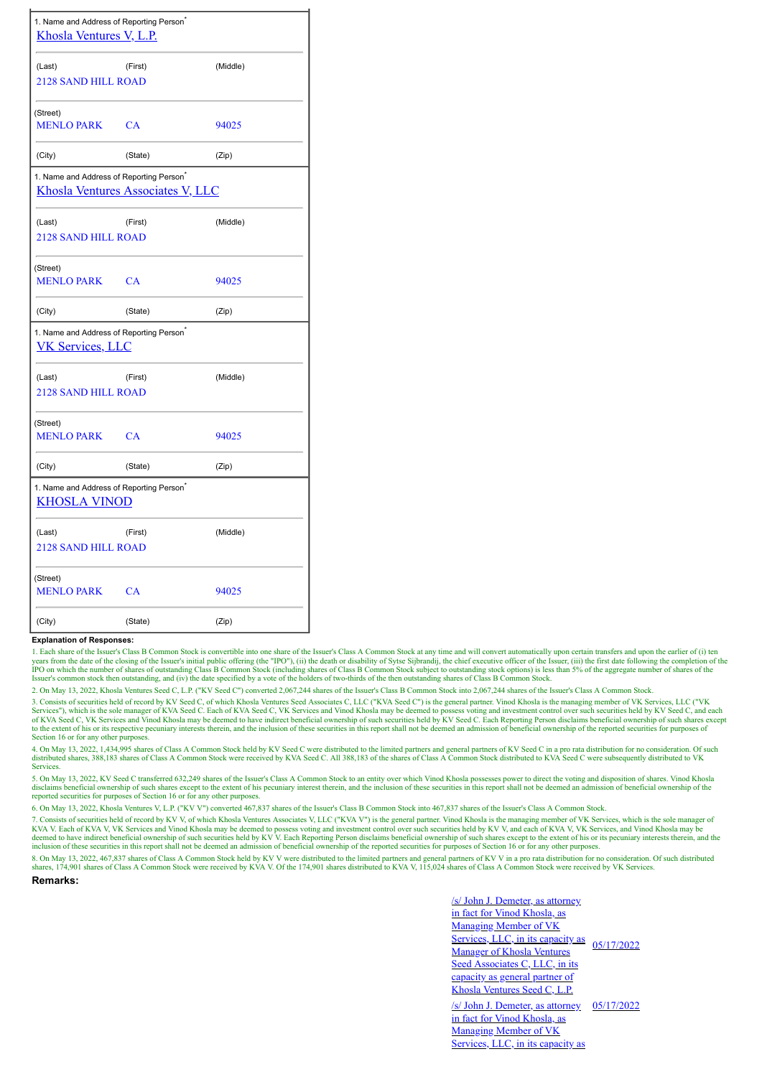| 1. Name and Address of Reporting Person <sup>®</sup><br>Khosla Ventures V, L.P.                  |           |          |  |  |  |  |  |  |  |
|--------------------------------------------------------------------------------------------------|-----------|----------|--|--|--|--|--|--|--|
| (Last)                                                                                           | (First)   | (Middle) |  |  |  |  |  |  |  |
| <b>2128 SAND HILL ROAD</b>                                                                       |           |          |  |  |  |  |  |  |  |
| (Street)                                                                                         |           |          |  |  |  |  |  |  |  |
| <b>MENLO PARK</b>                                                                                | CA        | 94025    |  |  |  |  |  |  |  |
| (City)                                                                                           | (State)   | (Zip)    |  |  |  |  |  |  |  |
| 1. Name and Address of Reporting Person <sup>®</sup><br><b>Khosla Ventures Associates V, LLC</b> |           |          |  |  |  |  |  |  |  |
| (Last)                                                                                           | (First)   | (Middle) |  |  |  |  |  |  |  |
| <b>2128 SAND HILL ROAD</b>                                                                       |           |          |  |  |  |  |  |  |  |
| (Street)                                                                                         |           |          |  |  |  |  |  |  |  |
| <b>MENLO PARK</b>                                                                                | <b>CA</b> | 94025    |  |  |  |  |  |  |  |
| (City)                                                                                           | (State)   | (Zip)    |  |  |  |  |  |  |  |
| 1. Name and Address of Reporting Person <sup>*</sup><br><b>VK Services, LLC</b>                  |           |          |  |  |  |  |  |  |  |
| (Last)                                                                                           | (First)   | (Middle) |  |  |  |  |  |  |  |
| <b>2128 SAND HILL ROAD</b>                                                                       |           |          |  |  |  |  |  |  |  |
| (Street)                                                                                         |           |          |  |  |  |  |  |  |  |
| <b>MENLO PARK</b>                                                                                | CA        | 94025    |  |  |  |  |  |  |  |
| (City)                                                                                           | (State)   | (Zip)    |  |  |  |  |  |  |  |
| 1. Name and Address of Reporting Person <sup>®</sup><br><b>KHOSLA VINOD</b>                      |           |          |  |  |  |  |  |  |  |
| (Last)                                                                                           | (First)   | (Middle) |  |  |  |  |  |  |  |
| <b>2128 SAND HILL ROAD</b>                                                                       |           |          |  |  |  |  |  |  |  |
| (Street)                                                                                         |           |          |  |  |  |  |  |  |  |
| <b>MENLO PARK</b>                                                                                | <b>CA</b> | 94025    |  |  |  |  |  |  |  |
| (City)                                                                                           | (State)   | (Zip)    |  |  |  |  |  |  |  |

## **Explanation of Responses:**

1. Each share of the Issuer's Class B Common Stock is convertible into one share of the Issuer's Class A Common Stock at any time and will convert automatically upon certain transfers and upon the earlier of (i) ten years

2. On May 13, 2022, Khosla Ventures Seed C, L.P. ("KV Seed C") converted 2,067,244 shares of the Issuer's Class B Common Stock into 2,067,244 shares of the Issuer's Class A Common Stock.

3. Consists of securities held of record by KV Seed C, of which Khosla Ventures Seed Associates C, LLC ("KVA Seed C") is the general partner. Vinod Khosla is the managing member of VK Services, LLC ("WK Services, LLC ("XW Section 16 or for any other purposes.

4. On May 13, 2022, 1,434,995 shares of Class A Common Stock held by KV Seed C were distributed to the limited partners and general partners of KV Seed C in a pro rata distribution for no consideration. Of such distributed Services.

5. On May 13, 2022, KV Seed C transferred 632,249 shares of the Issuer's Class A Common Stock to an entity over which Vinod Khosla possesses power to direct the voting and disposition of shares. Vinod Khosla disclaims beneficial ownership of such shares except to the extent of his pecuniary interest therein, and the inclusion of these securities in this report shall not be deemed an admission of beneficial ownership of the rep

6. On May 13, 2022, Khosla Ventures V, L.P. ("KV V") converted 467,837 shares of the Issuer's Class B Common Stock into 467,837 shares of the Issuer's Class A Common Stock.

7. Consists of securities held of record by KV V, of which Khosla Ventures Associates V, LLC ("KVA V") is the general partner. Vinod Khosla is the managing member of VK Services, which is the sole manager of KVA V. Each of KVA V, VK Services and Vinod Khosla may be deemed to possess voting and investment control over such securities held by KV V, and each of KVA V, VK Services, and Vinod Khosla may be deemed to have indirect b inclusion of these securities in this report shall not be deemed an admission of beneficial ownership of the reported securities for purposes of Section 16 or for any other purposes.

8. On May 13, 2022, 467,837 shares of Class A Common Stock held by KV V were distributed to the limited partners and general partners of KV V in a pro rata distribution for no consideration. Of such distributed<br>shares, 174

**Remarks:**

/s/ John J. Demeter, as attorney in fact for Vinod Khosla, as Managing Member of VK Services, LLC, in its capacity as 05/17/2022 Manager of Khosla Ventures Seed Associates C, LLC, in its capacity as general partner of Khosla Ventures Seed C, L.P. /s/ John J. Demeter, as attorney 05/17/2022

in fact for Vinod Khosla, as Managing Member of VK Services, LLC, in its capacity as